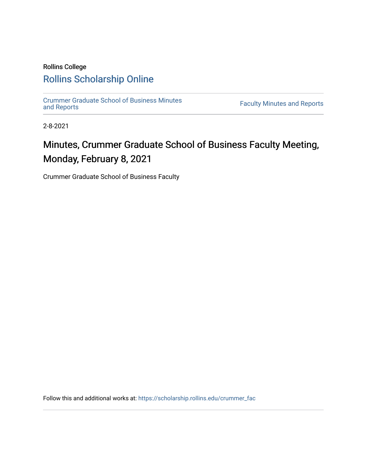# Rollins College [Rollins Scholarship Online](https://scholarship.rollins.edu/)

[Crummer Graduate School of Business Minutes](https://scholarship.rollins.edu/crummer_fac) 

**Faculty Minutes [and Reports](https://scholarship.rollins.edu/crummer_fac)** 

2-8-2021

# Minutes, Crummer Graduate School of Business Faculty Meeting, Monday, February 8, 2021

Crummer Graduate School of Business Faculty

Follow this and additional works at: [https://scholarship.rollins.edu/crummer\\_fac](https://scholarship.rollins.edu/crummer_fac?utm_source=scholarship.rollins.edu%2Fcrummer_fac%2F121&utm_medium=PDF&utm_campaign=PDFCoverPages)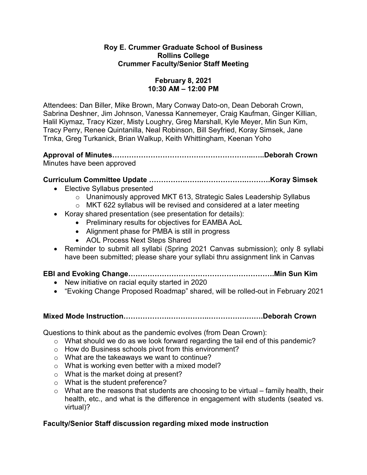#### **Roy E. Crummer Graduate School of Business Rollins College Crummer Faculty/Senior Staff Meeting**

#### **February 8, 2021 10:30 AM – 12:00 PM**

Attendees: Dan Biller, Mike Brown, Mary Conway Dato-on, Dean Deborah Crown, Sabrina Deshner, Jim Johnson, Vanessa Kannemeyer, Craig Kaufman, Ginger Killian, Halil Kiymaz, Tracy Kizer, Misty Loughry, Greg Marshall, Kyle Meyer, Min Sun Kim, Tracy Perry, Renee Quintanilla, Neal Robinson, Bill Seyfried, Koray Simsek, Jane Trnka, Greg Turkanick, Brian Walkup, Keith Whittingham, Keenan Yoho

**Approval of Minutes…………………………………………………..…..Deborah Crown** Minutes have been approved

## **Curriculum Committee Update ………………….……………….……….Koray Simsek**

- Elective Syllabus presented
	- o Unanimously approved MKT 613, Strategic Sales Leadership Syllabus
	- o MKT 622 syllabus will be revised and considered at a later meeting
- Koray shared presentation (see presentation for details):
	- Preliminary results for objectives for EAMBA AoL
	- Alignment phase for PMBA is still in progress
	- AOL Process Next Steps Shared
- Reminder to submit all syllabi (Spring 2021 Canvas submission); only 8 syllabi have been submitted; please share your syllabi thru assignment link in Canvas

**EBI and Evoking Change…………………………………………………….Min Sun Kim**

- New initiative on racial equity started in 2020
- "Evoking Change Proposed Roadmap" shared, will be rolled-out in February 2021

## **Mixed Mode Instruction……………….……………..…………….…….Deborah Crown**

Questions to think about as the pandemic evolves (from Dean Crown):

- o What should we do as we look forward regarding the tail end of this pandemic?
- o How do Business schools pivot from this environment?
- o What are the takeaways we want to continue?
- o What is working even better with a mixed model?
- o What is the market doing at present?
- o What is the student preference?
- $\circ$  What are the reasons that students are choosing to be virtual family health, their health, etc., and what is the difference in engagement with students (seated vs. virtual)?

## **Faculty/Senior Staff discussion regarding mixed mode instruction**